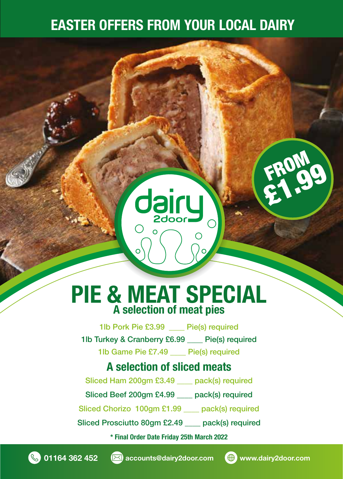### EASTER OFFERS FROM YOUR LOCAL DAIRY

## PIE & MEAT SPECIAL A selection of meat pies

**dairy** 

 $\Omega$ 

1lb Pork Pie £3.99 Pie(s) required 1lb Turkey & Cranberry £6.99 \_\_\_\_ Pie(s) required 1lb Game Pie £7.49 \_\_\_\_ Pie(s) required

#### A selection of sliced meats

Sliced Ham 200gm £3.49 pack(s) required

Sliced Beef 200gm £4.99 \_\_\_\_ pack(s) required

Sliced Chorizo 100gm £1.99 pack(s) required

Sliced Prosciutto 80gm £2.49 \_\_\_\_ pack(s) required

\* Final Order Date Friday 25th March 2022





FROM

£1.99